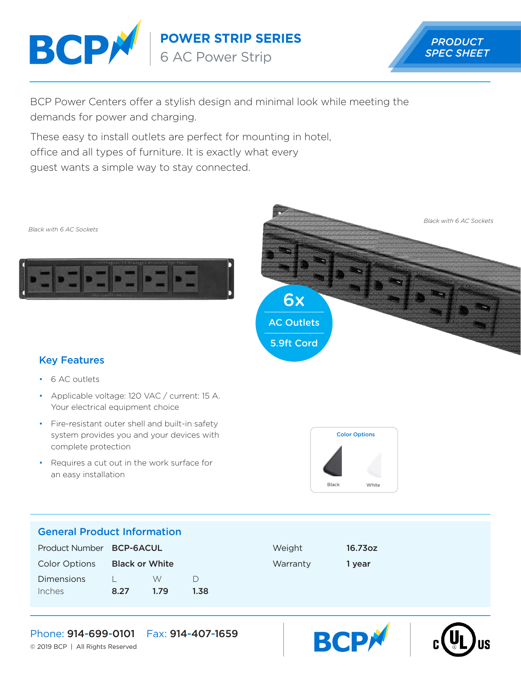

**POWER STRIP SERIES**

6 AC Power Strip



BCP Power Centers offer a stylish design and minimal look while meeting the demands for power and charging.

These easy to install outlets are perfect for mounting in hotel, office and all types of furniture. It is exactly what every guest wants a simple way to stay connected.





# Key Features

- 6 AC outlets
- Applicable voltage: 120 VAC / current: 15 A. Your electrical equipment choice
- Fire-resistant outer shell and built-in safety system provides you and your devices with complete protection
- Requires a cut out in the work surface for an easy installation



**BCP** 

## General Product Information

| Product Number BCP-6ACUL |                       |      |      | Weight   | 16.73oz |
|--------------------------|-----------------------|------|------|----------|---------|
| <b>Color Options</b>     | <b>Black or White</b> |      |      | Warranty | 1 vear  |
| <b>Dimensions</b>        |                       | W    |      |          |         |
| Inches                   | 8.27                  | 1.79 | 1.38 |          |         |

## Phone: 914-699-0101 Fax: 914-407-1659

© 2019 BCP | All Rights Reserved